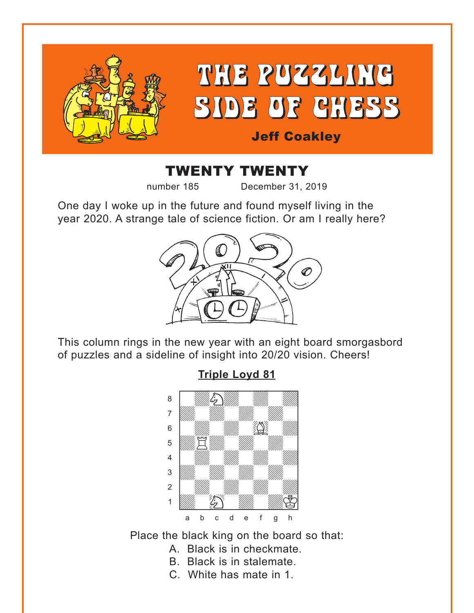<span id="page-0-0"></span>

# THE PUZZLING SIDE OF CHESS

### Jeff Coakley

# TWENTY TWENTY

number 185 December 31, 2019

One day I woke up in the future and found myself living in the year 2020. A strange tale of science fiction. Or am I really here?



This column rings in the new year with an eight board smorgasbord of puzzles and a sideline of insight into 20/20 vision. Cheers!

**[Triple Loyd 81](#page-7-0)**



Place the black king on the board so that:

- A. Black is in checkmate.
- B. Black is in stalemate.
- C. White has mate in 1.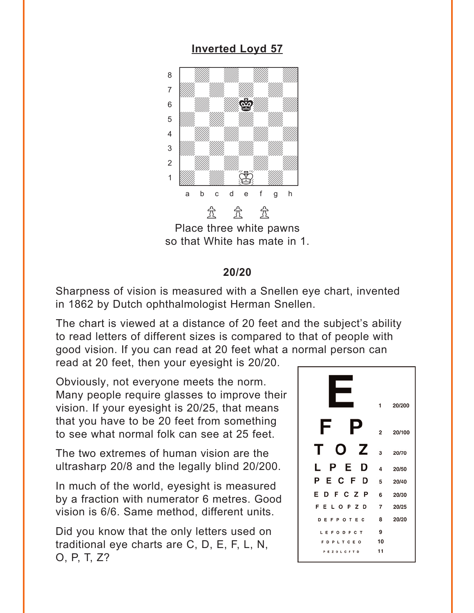#### **[Inverted Loyd 57](#page-8-0)**

<span id="page-1-0"></span>

Place three white pawns so that White has mate in 1.

#### **20/20**

Sharpness of vision is measured with a Snellen eye chart, invented in 1862 by Dutch ophthalmologist Herman Snellen.

The chart is viewed at a distance of 20 feet and the subject's ability to read letters of different sizes is compared to that of people with good vision. If you can read at 20 feet what a normal person can

read at 20 feet, then your eyesight is 20/20.

Obviously, not everyone meets the norm. Many people require glasses to improve their vision. If your eyesight is 20/25, that means that you have to be 20 feet from something to see what normal folk can see at 25 feet.

The two extremes of human vision are the ultrasharp 20/8 and the legally blind 20/200.

In much of the world, eyesight is measured by a fraction with numerator 6 metres. Good vision is 6/6. Same method, different units.

Did you know that the only letters used on traditional eye charts are C, D, E, F, L, N, O, P, T, Z?

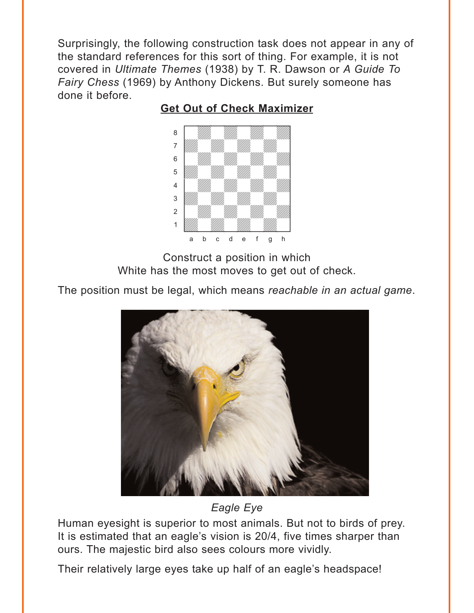<span id="page-2-0"></span>Surprisingly, the following construction task does not appear in any of the standard references for this sort of thing. For example, it is not covered in *Ultimate Themes* (1938) by T. R. Dawson or *A Guide To Fairy Chess* (1969) by Anthony Dickens. But surely someone has done it before.



#### **[Get Out of Check Maximizer](#page-8-0)**

Construct a position in which White has the most moves to get out of check.

The position must be legal, which means *reachable in an actual game*.



*Eagle Eye*

Human eyesight is superior to most animals. But not to birds of prey. It is estimated that an eagle's vision is 20/4, five times sharper than ours. The majestic bird also sees colours more vividly.

Their relatively large eyes take up half of an eagle's headspace!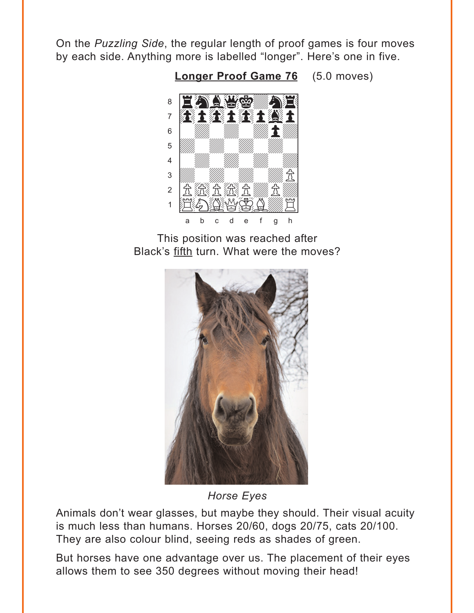<span id="page-3-0"></span>On the Puzzling Side, the regular length of proof games is four moves by each side. Anything more is labelled "longer". Here's one in five.

**Longer Proof Game 76** (5.0 moves)



This position was reached after Black's fifth turn. What were the moves?



**Horse Eyes** 

Animals don't wear glasses, but maybe they should. Their visual acuity is much less than humans. Horses 20/60, dogs 20/75, cats 20/100. They are also colour blind, seeing reds as shades of green.

But horses have one advantage over us. The placement of their eyes allows them to see 350 degrees without moving their head!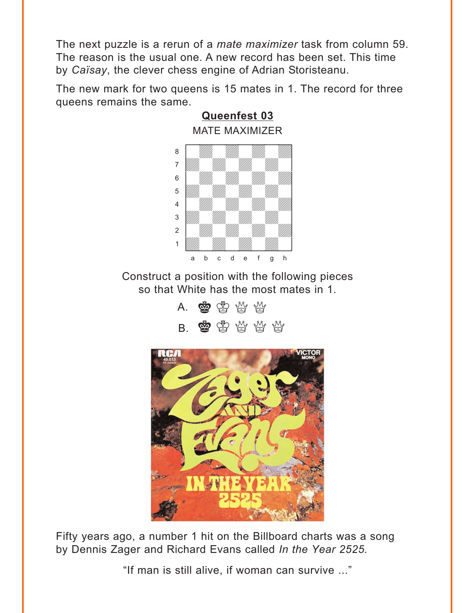<span id="page-4-0"></span>The next puzzle is a rerun of a *mate maximizer* task from column 59. The reason is the usual one. A new record has been set. This time by *Caïsay*, the clever chess engine of Adrian Storisteanu.

The new mark for two queens is 15 mates in 1. The record for three queens remains the same.



Construct a position with the following pieces so that White has the most mates in 1.

> A. \$\$P\$\$P\$ B. \$\$\$\$\$



Fifty years ago, a number 1 hit on the Billboard charts was a song by Dennis Zager and Richard Evans called *In the Year 2525.*

"If man is still alive, if woman can survive ..."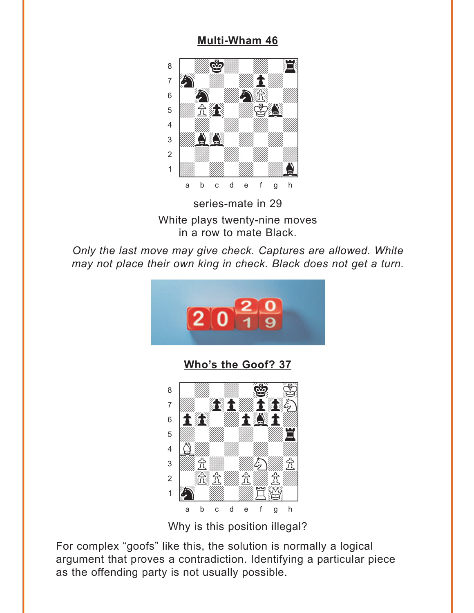#### **Multi-Wham 46**

<span id="page-5-0"></span>

series-mate in 29 White plays twenty-nine moves in a row to mate Black.

Only the last move may give check. Captures are allowed. White may not place their own king in check. Black does not get a turn.



Who's the Goof? 37



Why is this position illegal?

For complex "goofs" like this, the solution is normally a logical argument that proves a contradiction. Identifying a particular piece as the offending party is not usually possible.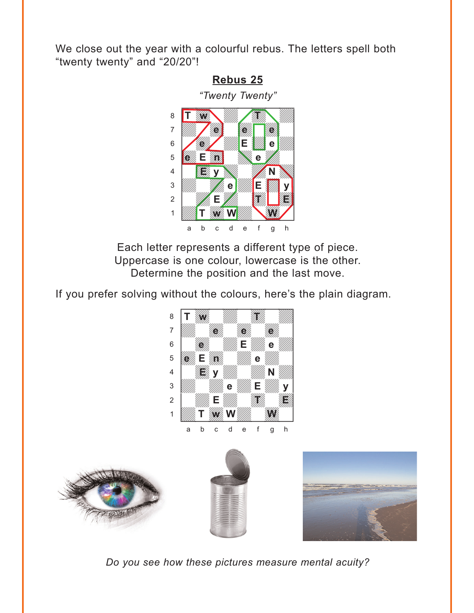<span id="page-6-0"></span>We close out the year with a colourful rebus. The letters spell both "twenty twenty" and "20/20"!

#### **[Rebus 25](#page-15-0)**



Each letter represents a different type of piece. Uppercase is one colour, lowercase is the other. Determine the position and the last move.

If you prefer solving without the colours, here's the plain diagram.









*Do you see how these pictures measure mental acuity?*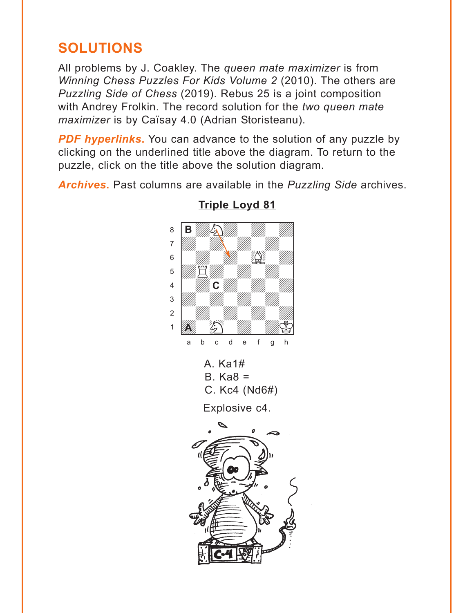## <span id="page-7-0"></span>**SOLUTIONS**

All problems by J. Coakley. The *queen mate maximizer* is from *Winning Chess Puzzles For Kids Volume 2* (2010). The others are *Puzzling Side of Chess* (2019). Rebus 25 is a joint composition with Andrey Frolkin. The record solution for the *two queen mate maximizer* is by Caïsay 4.0 (Adrian Storisteanu).

**PDF hyperlinks.** You can advance to the solution of any puzzle by clicking on the underlined title above the diagram. To return to the puzzle, click on the title above the solution diagram.

*Archives***.** Past columns are available in the *Puzzling Side* archives.



#### **[Triple Loyd 81](#page-0-0)**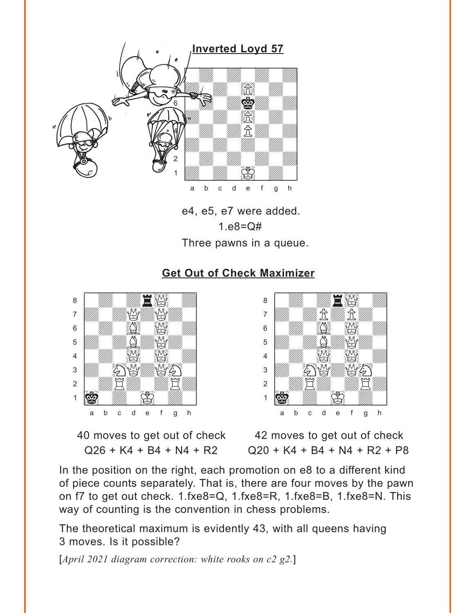<span id="page-8-0"></span>

e4, e5, e7 were added. 1.e8=Q# Three pawns in a queue.

#### **[Get Out of Check Maximizer](#page-2-0)**



40 moves to get out of check 42 moves to get out of check



 $Q26 + K4 + B4 + N4 + R2$   $Q20 + K4 + B4 + N4 + R2 + P8$ 

In the position on the right, each promotion on e8 to a different kind of piece counts separately. That is, there are four moves by the pawn on f7 to get out check. 1.fxe8=Q, 1.fxe8=R, 1.fxe8=B, 1.fxe8=N. This way of counting is the convention in chess problems.

The theoretical maximum is evidently 43, with all queens having 3 moves. Is it possible?

[*April 2021 diagram correction: white rooks on c2 g2.*]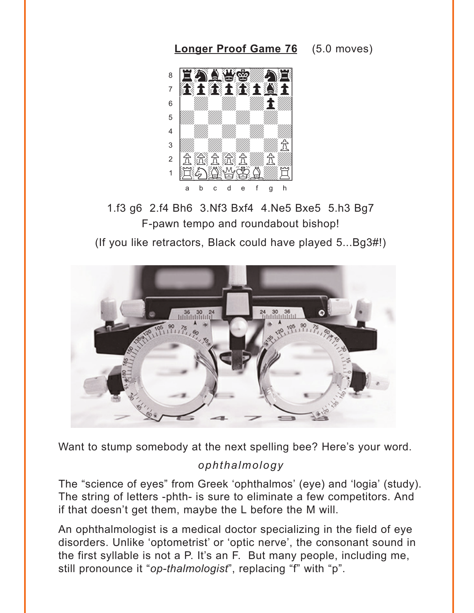<span id="page-9-0"></span>**Longer Proof Game 76** (5.0 moves)



1.f3 q6 2.f4 Bh6 3.Nf3 Bxf4 4.Ne5 Bxe5 5.h3 Bq7 F-pawn tempo and roundabout bishop!

(If you like retractors, Black could have played 5...Bq3#!)



Want to stump somebody at the next spelling bee? Here's your word.

#### ophthalmology

The "science of eyes" from Greek 'ophthalmos' (eye) and 'logia' (study). The string of letters -phth- is sure to eliminate a few competitors. And if that doesn't get them, maybe the L before the M will.

An ophthalmologist is a medical doctor specializing in the field of eye disorders. Unlike 'optometrist' or 'optic nerve', the consonant sound in the first syllable is not a P. It's an F. But many people, including me, still pronounce it "op-thalmologist", replacing "f" with "p".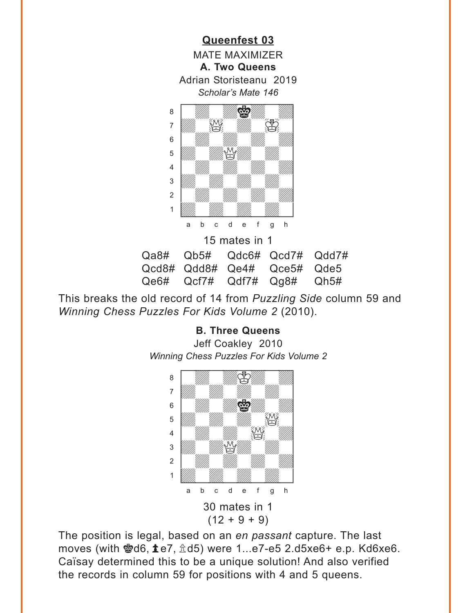<span id="page-10-0"></span>

15 mates in 1 Qa8# Qb5# Qdc6# Qcd7# Qdd7# Qcd8# Qdd8# Qe4# Qce5# Qde5 Qe6# Qcf7# Qdf7# Qg8# Qh5#

This breaks the old record of 14 from *Puzzling Side* column 59 and *Winning Chess Puzzles For Kids Volume 2* (2010).

#### **[B. Three Queens](#page-4-0)**

Jeff Coakley 2010 *Winning Chess Puzzles For Kids Volume 2* w\_\_\_\_\_\_\_\_w



The position is legal, based on an *en passant* capture. The last moves (with 嚠d6,  $\textcolor{blue}{\blacktriangle}$ e7,  $\textcolor{blue}{\hat{\triangle}}$ d5) were 1...e7-e5 2.d5xe6+ e.p. Kd6xe6. Caïsay determined this to be a unique solution! And also verified the records in column 59 for positions with 4 and 5 queens.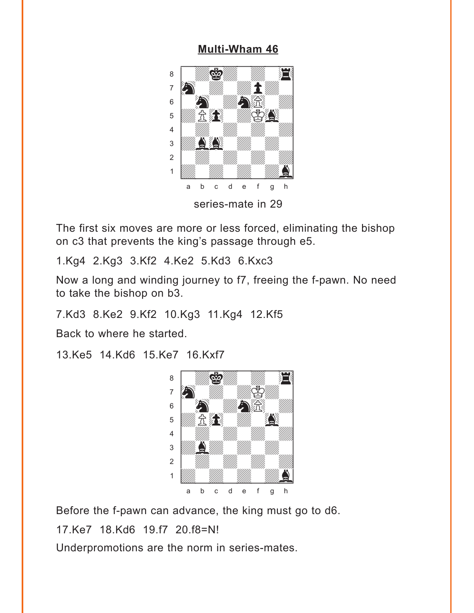#### **[Multi-Wham 46](#page-5-0)**

<span id="page-11-0"></span>

The first six moves are more or less forced, eliminating the bishop on c3 that prevents the king's passage through e5.

1.Kg4 2.Kg3 3.Kf2 4.Ke2 5.Kd3 6.Kxc3

Now a long and winding journey to f7, freeing the f-pawn. No need to take the bishop on b3.

7.Kd3 8.Ke2 9.Kf2 10.Kg3 11.Kg4 12.Kf5

Back to where he started.

13.Ke5 14.Kd6 15.Ke7 16.Kxf7



Before the f-pawn can advance, the king must go to d6.

17.Ke7 18.Kd6 19.f7 20.f8=N!

Underpromotions are the norm in series-mates.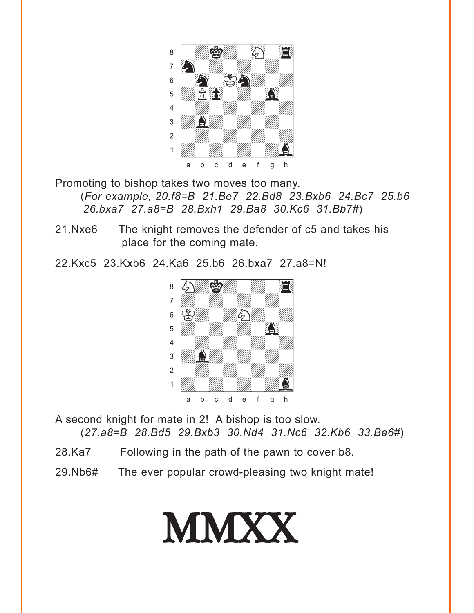

Promoting to bishop takes two moves too many. (*For example, 20.f8=B 21.Be7 22.Bd8 23.Bxb6 24.Bc7 25.b6 26.bxa7 27.a8=B 28.Bxh1 29.Ba8 30.Kc6 31.Bb7#*)

- 21.Nxe6 The knight removes the defender of c5 and takes his place for the coming mate.
- 22.Kxc5 23.Kxb6 24.Ka6 25.b6 26.bxa7 27.a8=N!



A second knight for mate in 2! A bishop is too slow. (*27.a8=B 28.Bd5 29.Bxb3 30.Nd4 31.Nc6 32.Kb6 33.Be6#*)

- 28.Ka7 Following in the path of the pawn to cover b8.
- 29.Nb6# The ever popular crowd-pleasing two knight mate!

# MMXX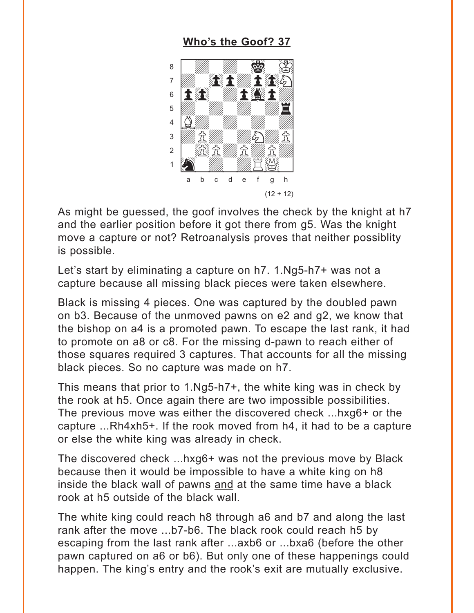#### **[Who's the Goof? 37](#page-5-0)**

<span id="page-13-0"></span>

As might be guessed, the goof involves the check by the knight at h7 and the earlier position before it got there from g5. Was the knight move a capture or not? Retroanalysis proves that neither possiblity is possible.

Let's start by eliminating a capture on h7. 1.Ng5-h7+ was not a capture because all missing black pieces were taken elsewhere.

Black is missing 4 pieces. One was captured by the doubled pawn on b3. Because of the unmoved pawns on e2 and g2, we know that the bishop on a4 is a promoted pawn. To escape the last rank, it had to promote on a8 or c8. For the missing d-pawn to reach either of those squares required 3 captures. That accounts for all the missing black pieces. So no capture was made on h7.

This means that prior to 1.Ng5-h7+, the white king was in check by the rook at h5. Once again there are two impossible possibilities. The previous move was either the discovered check ...hxg6+ or the capture ...Rh4xh5+. If the rook moved from h4, it had to be a capture or else the white king was already in check.

The discovered check ...hxg6+ was not the previous move by Black because then it would be impossible to have a white king on h8 inside the black wall of pawns and at the same time have a black rook at h5 outside of the black wall.

The white king could reach h8 through a6 and b7 and along the last rank after the move ...b7-b6. The black rook could reach h5 by escaping from the last rank after ...axb6 or ...bxa6 (before the other pawn captured on a6 or b6). But only one of these happenings could happen. The king's entry and the rook's exit are mutually exclusive.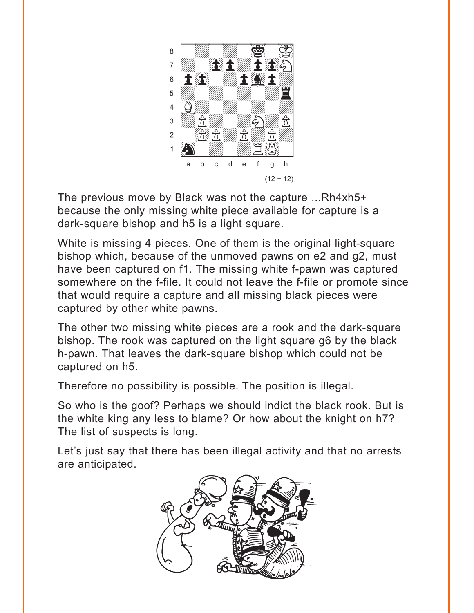

The previous move by Black was not the capture ...Rh4xh5+ because the only missing white piece available for capture is a dark-square bishop and h5 is a light square.

White is missing 4 pieces. One of them is the original light-square bishop which, because of the unmoved pawns on e2 and g2, must have been captured on f1. The missing white f-pawn was captured somewhere on the f-file. It could not leave the f-file or promote since that would require a capture and all missing black pieces were captured by other white pawns.

The other two missing white pieces are a rook and the dark-square bishop. The rook was captured on the light square g6 by the black h-pawn. That leaves the dark-square bishop which could not be captured on h5.

Therefore no possibility is possible. The position is illegal.

So who is the goof? Perhaps we should indict the black rook. But is the white king any less to blame? Or how about the knight on h7? The list of suspects is long.

Let's just say that there has been illegal activity and that no arrests are anticipated.

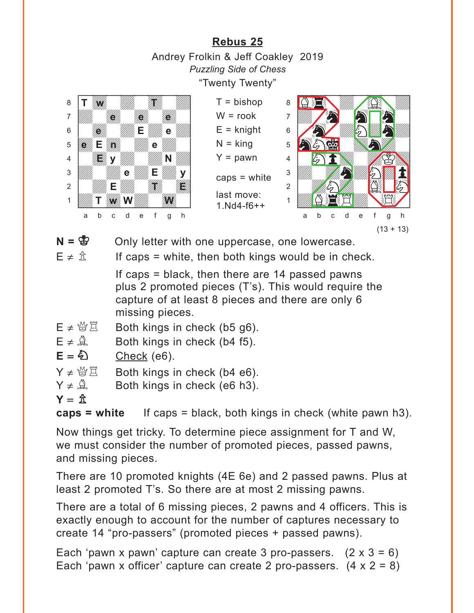**[Rebus 25](#page-6-0)** Andrey Frolkin & Jeff Coakley 2019 *Puzzling Side of Chess* "Twenty Twenty"

<span id="page-15-0"></span>

 $N = \mathbb{S}$  Only letter with one uppercase, one lowercase.

 $E \neq \hat{\mathbb{E}}$  If caps = white, then both kings would be in check.

If caps = black, then there are 14 passed pawns plus 2 promoted pieces (T's). This would require the capture of at least 8 pieces and there are only 6 missing pieces.

- $E \neq \mathcal{B} \mathbb{E}$  Both kings in check (b5 g6).
- $E \neq \hat{A}$  Both kings in check (b4 f5).

$$
E = \mathbf{\&} \qquad \qquad \underline{\text{Check (e6)}}.
$$

$$
Y \neq \mathcal{L} \ \mathbb{Z}
$$
 Both kings in check (b4 e6).

$$
Y \neq \mathcal{Q}
$$
 Both kings in check (e6 h3).

$$
Y = \hat{\mathbb{Z}}
$$

**caps = white** If caps = black, both kings in check (white pawn h3).

Now things get tricky. To determine piece assignment for T and W, we must consider the number of promoted pieces, passed pawns, and missing pieces.

There are 10 promoted knights (4E 6e) and 2 passed pawns. Plus at least 2 promoted T's. So there are at most 2 missing pawns.

There are a total of 6 missing pieces, 2 pawns and 4 officers. This is exactly enough to account for the number of captures necessary to create 14 "pro-passers" (promoted pieces + passed pawns).

Each 'pawn x pawn' capture can create 3 pro-passers.  $(2 \times 3 = 6)$ Each 'pawn x officer' capture can create 2 pro-passers.  $(4 \times 2 = 8)$